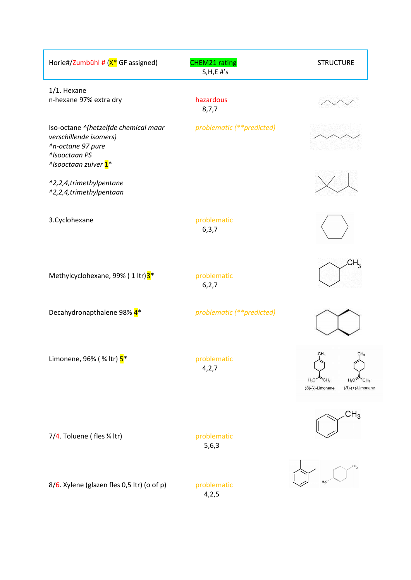| Horie#/Zumbühl # (X <sup>*</sup> GF assigned)                                                                                                        | <b>CHEM21 rating</b><br>$S, H, E$ #'s | <b>STRUCTURE</b>                                                                                                            |
|------------------------------------------------------------------------------------------------------------------------------------------------------|---------------------------------------|-----------------------------------------------------------------------------------------------------------------------------|
| $1/1.$ Hexane<br>n-hexane 97% extra dry                                                                                                              | hazardous<br>8,7,7                    |                                                                                                                             |
| Iso-octane ^(hetzelfde chemical maar<br>verschillende isomers)<br>^n-octane 97 pure<br>^Isooctaan PS<br><sup>^</sup> Isooctaan zuiver 1 <sup>*</sup> | problematic (**predicted)             |                                                                                                                             |
| ^2,2,4,trimethylpentane<br>^2,2,4,trimethylpentaan                                                                                                   |                                       |                                                                                                                             |
| 3. Cyclohexane                                                                                                                                       | problematic<br>6, 3, 7                |                                                                                                                             |
| Methylcyclohexane, 99% (1 ltr) <sup>3</sup> *                                                                                                        | problematic<br>6, 2, 7                | $H_3$                                                                                                                       |
| Decahydronapthalene 98% 4 <sup>*</sup>                                                                                                               | problematic (**predicted)             |                                                                                                                             |
| Limonene, 96% ( 3/4 ltr) 5 <sup>*</sup>                                                                                                              | problematic<br>4,2,7                  | CH <sub>3</sub><br>CH <sub>3</sub><br>$H_3C$<br>CH <sub>2</sub><br>$H_2C$<br>CH3<br>(S)-(-)-Limonene<br>$(R)-(+)$ -Limonene |
| 7/4. Toluene (fles 1/4 ltr)                                                                                                                          | problematic<br>5,6,3                  | CH <sub>3</sub>                                                                                                             |
| 8/6. Xylene (glazen fles 0,5 ltr) (o of p)                                                                                                           | problematic<br>4,2,5                  |                                                                                                                             |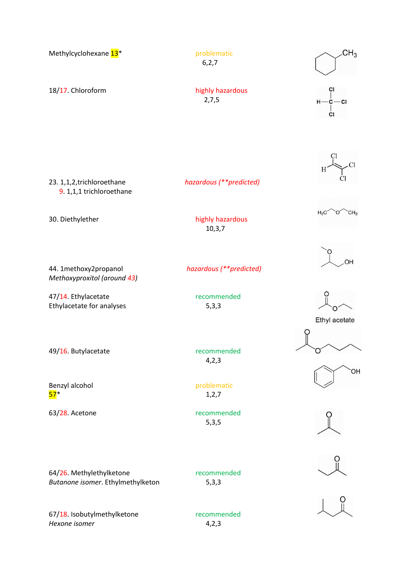| Methylcyclohexane 13 <sup>*</sup>                                           | problematic<br>6, 2, 7                 | CH <sub>3</sub>                |
|-----------------------------------------------------------------------------|----------------------------------------|--------------------------------|
| 18/17. Chloroform                                                           | highly hazardous<br>2,7,5              | СI<br>$H - C - C$<br>СI        |
| 23. 1,1,2, trichloroethane<br>9. 1,1,1 trichloroethane                      | hazardous (**predicted)                |                                |
| 30. Diethylether                                                            | highly hazardous<br>10, 3, 7           | $H_3C$<br>CH <sub>3</sub><br>Ο |
| 44. 1methoxy2propanol<br>Methoxyproxitol (around 43)<br>47/14. Ethylacetate | hazardous (**predicted)<br>recommended | OH                             |
| Ethylacetate for analyses                                                   | 5,3,3                                  | Ethyl acetate                  |
| 49/16. Butylacetate                                                         | recommended<br>4,2,3                   | ЮH                             |
| Benzyl alcohol<br>$57*$                                                     | problematic<br>1, 2, 7                 |                                |
| 63/28. Acetone                                                              | recommended<br>5,3,5                   |                                |
| 64/26. Methylethylketone<br>Butanone isomer. Ethylmethylketon               | recommended<br>5,3,3                   |                                |
| 67/18 Icohutylmathylkatone                                                  | recommended                            |                                |

67/18. Isobutylmethylketone recommended<br>
Hexone isomer 4,2,3 **Hexone isomer**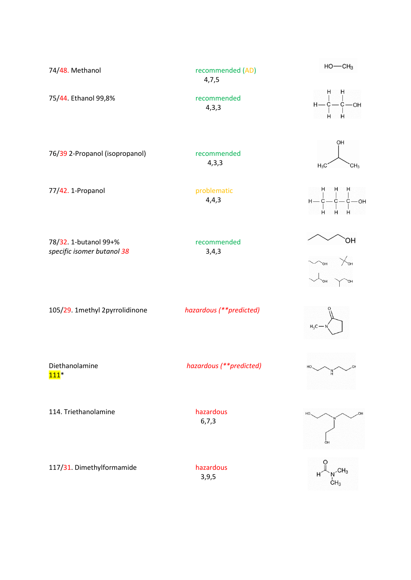| 74/48. Methanol                                     | recommended (AD)<br>4,7,5 | $HO$ — $CH3$                                                             |
|-----------------------------------------------------|---------------------------|--------------------------------------------------------------------------|
| 75/44. Ethanol 99,8%                                | recommended<br>4,3,3      | H<br>H<br>$H - \dot{\zeta} - \dot{\zeta} - O H$                          |
| 76/39 2-Propanol (isopropanol)                      | recommended<br>4,3,3      | OH<br>$H_3C$<br>CH <sub>3</sub>                                          |
| 77/42. 1-Propanol                                   | problematic<br>4,4,3      | $H = \frac{1}{6} - \frac{1}{6} - \frac{1}{6} - \text{OH}$<br>н<br>н<br>H |
| 78/32. 1-butanol 99+%<br>specific isomer butanol 38 | recommended<br>3,4,3      | ЮH                                                                       |
| 105/29. 1methyl 2pyrrolidinone                      | hazardous (**predicted)   | $H_3C -$                                                                 |
| Diethanolamine<br>$111*$                            | hazardous (**predicted)   | $HO. \t\t\sim \t\sim$<br>−O⊦<br>$\frac{N}{H}$                            |
| 114. Triethanolamine                                | hazardous<br>6, 7, 3      | HO<br>OH                                                                 |
| 117/31. Dimethylformamide                           | hazardous<br>3, 9, 5      | $N$ <sup>CH<sub>3</sub><br/>CH<sub>3</sub></sup>                         |